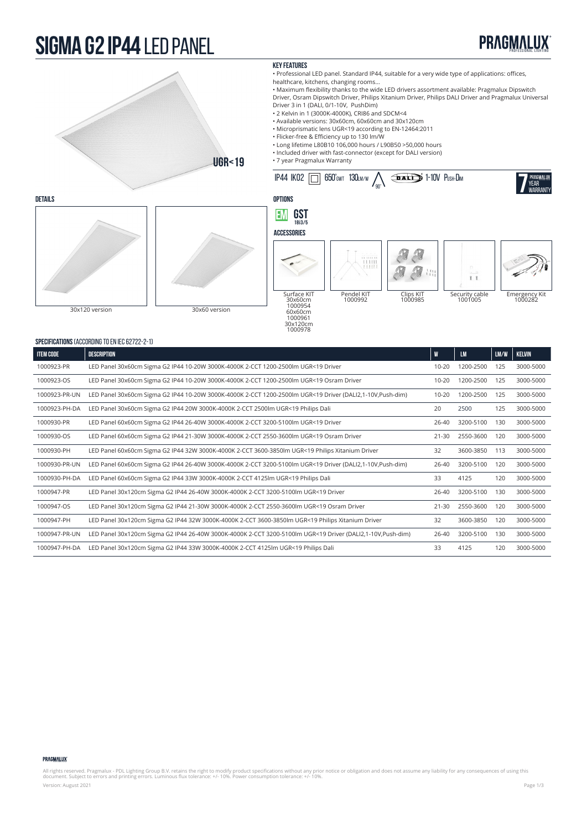### **sigma G2 IP44** LED PANEL





| <u>JELUH IUAHUNJ (AUUUNDINU TU LN ILU UZTZZ Z TI</u> |                                                                                                            |           |           |      |               |  |  |  |
|------------------------------------------------------|------------------------------------------------------------------------------------------------------------|-----------|-----------|------|---------------|--|--|--|
| <b>ITEM CODE</b>                                     | DESCRIPTION<br>W                                                                                           |           |           | LM/W | <b>KELVIN</b> |  |  |  |
| 1000923-PR                                           | LED Panel 30x60cm Sigma G2 IP44 10-20W 3000K-4000K 2-CCT 1200-2500lm UGR<19 Driver                         | $10 - 20$ | 1200-2500 | 125  | 3000-5000     |  |  |  |
| 1000923-OS                                           | LED Panel 30x60cm Sigma G2 IP44 10-20W 3000K-4000K 2-CCT 1200-2500lm UGR<19 Osram Driver                   | $10 - 20$ | 1200-2500 | 125  | 3000-5000     |  |  |  |
| 1000923-PR-UN                                        | LED Panel 30x60cm Sigma G2 IP44 10-20W 3000K-4000K 2-CCT 1200-2500lm UGR<19 Driver (DALI2,1-10V,Push-dim)  | $10 - 20$ | 1200-2500 | 125  | 3000-5000     |  |  |  |
| 1000923-PH-DA                                        | LED Panel 30x60cm Sigma G2 IP44 20W 3000K-4000K 2-CCT 2500lm UGR<19 Philips Dali                           | 20        | 2500      | 125  | 3000-5000     |  |  |  |
| 1000930-PR                                           | LED Panel 60x60cm Sigma G2 IP44 26-40W 3000K-4000K 2-CCT 3200-5100lm UGR<19 Driver                         | $26 - 40$ | 3200-5100 | 130  | 3000-5000     |  |  |  |
| 1000930-OS                                           | LED Panel 60x60cm Sigma G2 IP44 21-30W 3000K-4000K 2-CCT 2550-3600lm UGR<19 Osram Driver                   | $21 - 30$ | 2550-3600 | 120  | 3000-5000     |  |  |  |
| 1000930-PH                                           | LED Panel 60x60cm Sigma G2 IP44 32W 3000K-4000K 2-CCT 3600-3850lm UGR<19 Philips Xitanium Driver           | 32        | 3600-3850 | 113  | 3000-5000     |  |  |  |
| 1000930-PR-UN                                        | LED Panel 60x60cm Sigma G2 IP44 26-40W 3000K-4000K 2-CCT 3200-5100lm UGR<19 Driver (DALI2,1-10V,Push-dim)  | 26-40     | 3200-5100 | 120  | 3000-5000     |  |  |  |
| 1000930-PH-DA                                        | LED Panel 60x60cm Sigma G2 IP44 33W 3000K-4000K 2-CCT 4125lm UGR<19 Philips Dali                           | 33        | 4125      | 120  | 3000-5000     |  |  |  |
| 1000947-PR                                           | LED Panel 30x120cm Sigma G2 IP44 26-40W 3000K-4000K 2-CCT 3200-5100lm UGR<19 Driver                        | $26 - 40$ | 3200-5100 | 130  | 3000-5000     |  |  |  |
| 1000947-OS                                           | LED Panel 30x120cm Sigma G2 IP44 21-30W 3000K-4000K 2-CCT 2550-3600lm UGR<19 Osram Driver                  | $21 - 30$ | 2550-3600 | 120  | 3000-5000     |  |  |  |
| 1000947-PH                                           | LED Panel 30x120cm Sigma G2 IP44 32W 3000K-4000K 2-CCT 3600-3850lm UGR<19 Philips Xitanium Driver          | 32        | 3600-3850 | 120  | 3000-5000     |  |  |  |
| 1000947-PR-UN                                        | LED Panel 30x120cm Sigma G2 IP44 26-40W 3000K-4000K 2-CCT 3200-5100lm UGR<19 Driver (DALI2,1-10V,Push-dim) | 26-40     | 3200-5100 | 130  | 3000-5000     |  |  |  |
| 1000947-PH-DA                                        | LED Panel 30x120cm Sigma G2 IP44 33W 3000K-4000K 2-CCT 4125lm UGR<19 Philips Dali                          | 33        | 4125      | 120  | 3000-5000     |  |  |  |

### PRAGMALUX

All rights reserved. Pragmalux - PDL Lighting Group B.V. retains the right to modify product specifications without any prior notice or obligation and does not assume any liability for any consequences of using this<br>docume Version: August 2021 Page 1/3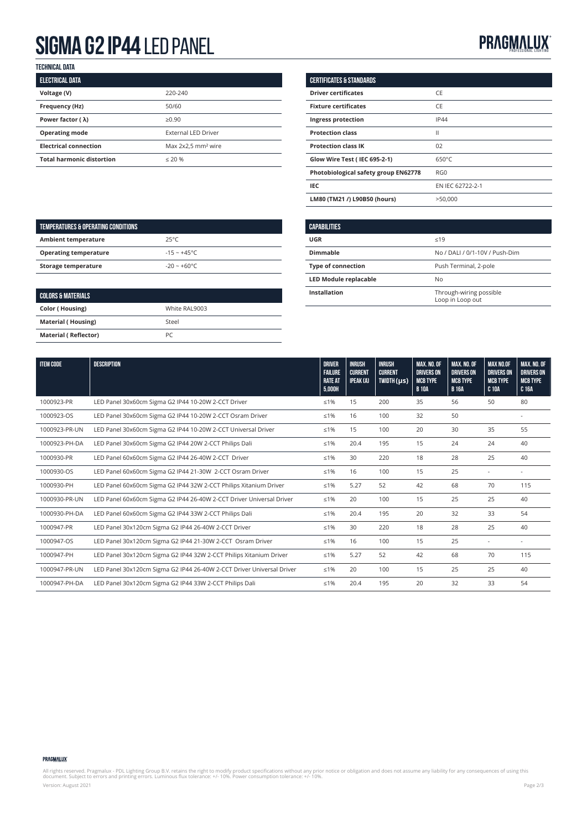## **SIGMA G2 IP44 LED PANEL PROFESSION CONTROLLER PROFESSIONAL PROFESSIONAL PROFESSIONAL LIGHTING**

**technical data**

| <b>ELECTRICAL DATA</b>           |                                |
|----------------------------------|--------------------------------|
| Voltage (V)                      | 220-240                        |
| Frequency (Hz)                   | 50/60                          |
| Power factor ( $\lambda$ )       | $\geq 0.90$                    |
| <b>Operating mode</b>            | <b>External LED Driver</b>     |
| <b>Electrical connection</b>     | Max 2x2,5 mm <sup>2</sup> wire |
| <b>Total harmonic distortion</b> | $\leq 20$ %                    |

| <b>CERTIFICATES &amp; STANDARDS</b>  |                  |
|--------------------------------------|------------------|
| <b>Driver certificates</b>           | CE               |
| <b>Fixture certificates</b>          | CE               |
| Ingress protection                   | <b>IP44</b>      |
| <b>Protection class</b>              | Ш                |
| <b>Protection class IK</b>           | 02               |
| <b>Glow Wire Test (IEC 695-2-1)</b>  | $650^{\circ}$ C  |
| Photobiological safety group EN62778 | RGO              |
| IEC                                  | EN IEC 62722-2-1 |
| LM80 (TM21 /) L90B50 (hours)         | >50.000          |

| TEMPERATURES & OPERATING CONDITIONS |                |
|-------------------------------------|----------------|
| <b>Ambient temperature</b>          | $25^{\circ}C$  |
| <b>Operating temperature</b>        | $-15 - +45$ °C |
| Storage temperature                 | $-20 - +60$ °C |
|                                     |                |

| <b>COLORS &amp; MATERIALS</b> |               |  |  |  |  |
|-------------------------------|---------------|--|--|--|--|
| <b>Color (Housing)</b>        | White RAL9003 |  |  |  |  |
| <b>Material (Housing)</b>     | Steel         |  |  |  |  |
| <b>Material (Reflector)</b>   | PC            |  |  |  |  |

| <b>CAPABILITIES</b>          |                                             |
|------------------------------|---------------------------------------------|
| UGR                          | $\leq 19$                                   |
| Dimmable                     | No / DALI / 0/1-10V / Push-Dim              |
| <b>Type of connection</b>    | Push Terminal, 2-pole                       |
| <b>LED Module replacable</b> | No                                          |
| Installation                 | Through-wiring possible<br>Loop in Loop out |

| <b>ITEM CODE</b> | <b>DESCRIPTION</b>                                                    | <b>DRIVER</b>                    | <b>INRUSH</b>                      | <b>INRUSH</b>                    | <b>MAX. NO. OF</b>                   | MAX. NO. OF                          | <b>MAX NO.OF</b>                     | <b>MAX. NO. OF</b>                   |
|------------------|-----------------------------------------------------------------------|----------------------------------|------------------------------------|----------------------------------|--------------------------------------|--------------------------------------|--------------------------------------|--------------------------------------|
|                  |                                                                       | <b>FAILURE</b><br><b>RATE AT</b> | <b>CURRENT</b><br><b>IPEAK (A)</b> | <b>CURRENT</b><br>$TWDTH(\mu s)$ | <b>DRIVERS ON</b><br><b>MCB TYPE</b> | <b>DRIVERS ON</b><br><b>MCB TYPE</b> | <b>DRIVERS ON</b><br><b>MCB TYPE</b> | <b>DRIVERS ON</b><br><b>MCB TYPE</b> |
|                  |                                                                       | 5,000H                           |                                    |                                  | <b>B</b> 10A                         | <b>B</b> 16A                         | <b>C 10A</b>                         | C 16A                                |
| 1000923-PR       | LED Panel 30x60cm Sigma G2 IP44 10-20W 2-CCT Driver                   | $\leq 1\%$                       | 15                                 | 200                              | 35                                   | 56                                   | 50                                   | 80                                   |
| 1000923-OS       | LED Panel 30x60cm Sigma G2 IP44 10-20W 2-CCT Osram Driver             | $≤1%$                            | 16                                 | 100                              | 32                                   | 50                                   |                                      |                                      |
| 1000923-PR-UN    | LED Panel 30x60cm Sigma G2 IP44 10-20W 2-CCT Universal Driver         | $≤1%$                            | 15                                 | 100                              | 20                                   | 30                                   | 35                                   | 55                                   |
| 1000923-PH-DA    | LED Panel 30x60cm Sigma G2 IP44 20W 2-CCT Philips Dali                | $≤1%$                            | 20.4                               | 195                              | 15                                   | 24                                   | 24                                   | 40                                   |
| 1000930-PR       | LED Panel 60x60cm Sigma G2 IP44 26-40W 2-CCT Driver                   | $≤1%$                            | 30                                 | 220                              | 18                                   | 28                                   | 25                                   | 40                                   |
| 1000930-OS       | LED Panel 60x60cm Sigma G2 IP44 21-30W 2-CCT Osram Driver             | $\leq 1\%$                       | 16                                 | 100                              | 15                                   | 25                                   |                                      |                                      |
| 1000930-PH       | LED Panel 60x60cm Sigma G2 IP44 32W 2-CCT Philips Xitanium Driver     | $≤1%$                            | 5.27                               | 52                               | 42                                   | 68                                   | 70                                   | 115                                  |
| 1000930-PR-UN    | LED Panel 60x60cm Sigma G2 IP44 26-40W 2-CCT Driver Universal Driver  | $≤1%$                            | 20                                 | 100                              | 15                                   | 25                                   | 25                                   | 40                                   |
| 1000930-PH-DA    | LED Panel 60x60cm Sigma G2 IP44 33W 2-CCT Philips Dali                | $≤1%$                            | 20.4                               | 195                              | 20                                   | 32                                   | 33                                   | 54                                   |
| 1000947-PR       | LED Panel 30x120cm Sigma G2 IP44 26-40W 2-CCT Driver                  | $\leq 1\%$                       | 30                                 | 220                              | 18                                   | 28                                   | 25                                   | 40                                   |
| 1000947-OS       | LED Panel 30x120cm Sigma G2 IP44 21-30W 2-CCT Osram Driver            | $\leq 1\%$                       | 16                                 | 100                              | 15                                   | 25                                   |                                      |                                      |
| 1000947-PH       | LED Panel 30x120cm Sigma G2 IP44 32W 2-CCT Philips Xitanium Driver    | $≤1%$                            | 5.27                               | 52                               | 42                                   | 68                                   | 70                                   | 115                                  |
| 1000947-PR-UN    | LED Panel 30x120cm Sigma G2 IP44 26-40W 2-CCT Driver Universal Driver | $≤1%$                            | 20                                 | 100                              | 15                                   | 25                                   | 25                                   | 40                                   |
| 1000947-PH-DA    | LED Panel 30x120cm Sigma G2 IP44 33W 2-CCT Philips Dali               | $≤1%$                            | 20.4                               | 195                              | 20                                   | 32                                   | 33                                   | 54                                   |

### PRAGMALUX

All rights reserved. Pragmalux - PDL Lighting Group B.V. retains the right to modify product specifications without any prior notice or obligation and does not assume any liability for any consequences of using this<br>docume Version: August 2021 Page 2/3